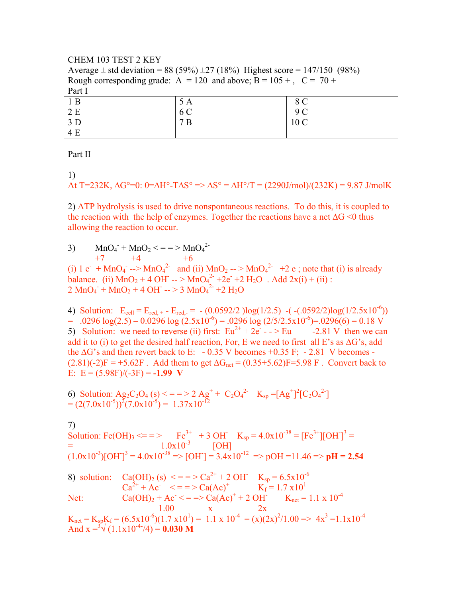## CHEM 103 TEST 2 KEY Average  $\pm$  std deviation = 88 (59%)  $\pm$ 27 (18%) Highest score = 147/150 (98%) Rough corresponding grade:  $A = 120$  and above;  $B = 105 +$ ,  $C = 70 +$ Part I

| 1B                    | 5 A | $\Omega$ $\Omega$<br>$\circ$ $\circ$ |
|-----------------------|-----|--------------------------------------|
| 2E                    | 6 C | 9 C                                  |
| 3D                    | 7B  | 10 <sub>C</sub>                      |
| $\blacksquare$<br>4 F |     |                                      |

Part II

1)

At T=232K, 
$$
\Delta G^{\circ}=0
$$
: 0=AH<sup>o</sup>-T $\Delta S^{\circ} = \Delta H^{\circ}/T = (2290 \text{J/mol})/(232 \text{K}) = 9.87 \text{ J/mol}$ K

2) ATP hydrolysis is used to drive nonspontaneous reactions. To do this, it is coupled to the reaction with the help of enzymes. Together the reactions have a net ∆G <0 thus allowing the reaction to occur.

3)  $MnO_4 + MnO_2 \leq \frac{1}{2}$   $MnO_4^2$ 

 $+7$   $+4$   $+6$ (i)  $1 e^- + MnO_4^- \rightarrow MnO_4^2$  and (ii)  $MnO_2 \rightarrow MnO_4^2$  +2 e; note that (i) is already balance. (ii)  $MnO_2 + 4OH - > MnO_4^2 + 2e^2 + 2H_2O$ . Add  $2x(i) + (ii)$ :  $2 \text{ MnO}_4 + \text{ MnO}_2 + 4 \text{ OH} \rightarrow 3 \text{ MnO}_4^2 + 2 \text{ H}_2\text{O}$ 

4) Solution:  $E_{cell} = E_{red, +} - E_{red, -} = -(0.0592/2)log(1/2.5) - (-0.0592/2)log(1/2.5x10^{-6}))$  $= .0296 \log(2.5) - 0.0296 \log(2.5 \times 10^{-6}) = .0296 \log(2.5 \times 10^{-6}) = .0296(6) = 0.18 \text{ V}$ 5) Solution: we need to reverse (ii) first:  $Eu^{2+} + 2e^- - > Eu$  -2.81 V then we can add it to (i) to get the desired half reaction, For, E we need to first all E's as ∆G's, add the  $\Delta G$ 's and then revert back to E: - 0.35 V becomes +0.35 F; - 2.81 V becomes - $(2.81)(-2)F = +5.62F$ . Add them to get  $\Delta G_{net} = (0.35 + 5.62)F = 5.98 F$ . Convert back to E:  $E = (5.98F)/(3F) = -1.99$  V

6) Solution: 
$$
Ag_2C_2O_4(s) \leq 3.2 \text{ Ag}^+ + C_2O_4^{2-}
$$
  $K_{sp} = [Ag^+]^2 [C_2O_4^{2-}] = (2(7.0 \times 10^{-5}))^2 (7.0 \times 10^{-5}) = 1.37 \times 10^{-12}$ 

7) Solution: Fe(OH)<sub>3</sub> <= = > Fe<sup>3+</sup> + 3 OH<sup>-</sup> K<sub>sp</sub> =  $4.0x10^{-38}$  = [Fe<sup>3+</sup>][OH<sup>-</sup>]<sup>3</sup> =  $=$  1.0x10<sup>-3</sup> [OH]  $(1.0x10^{-3})[OH]<sup>3</sup> = 4.0x10^{-38} \Rightarrow [OH]<sup>3</sup> = 3.4x10^{-12} \Rightarrow pOH = 11.46 \Rightarrow pH = 2.54$ 8) solution:  $Ca(OH)_2$  (s)  $\langle \frac{1}{2} \rangle = 5 \times 10^{-4} + 2 \text{OH}$   $K_{sp} = 6.5 \times 10^{-6}$ 

Ca2+ + Ac- < = = > Ca(Ac)+ Kf = 1.7 x101 Net: Ca(OH)2 + Ac- < = => Ca(Ac)+ + 2 OH- Knet = 1.1 x 10-4 1.00 x 2x

 $K_{\text{net}} = K_{\text{sp}} K_f = (6.5 \times 10^{-6})(1.7 \times 10^{1}) = 1.1 \times 10^{-4} = (x)(2x)^{2}/1.00 \implies 4x^{3} = 1.1 \times 10^{-4}$ And  $x = \sqrt[3]{(1.1x10^{-4}/4)} = 0.030$  M